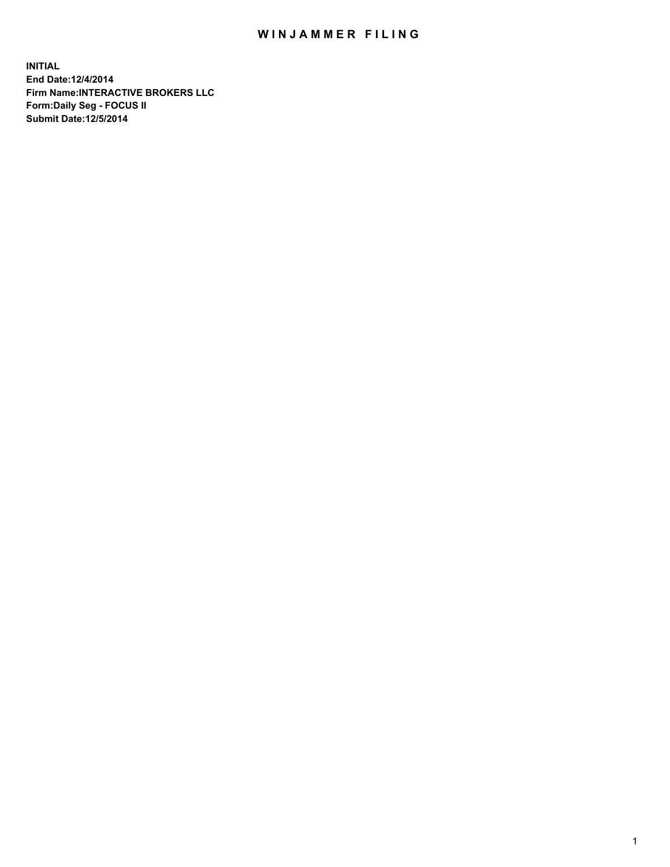## WIN JAMMER FILING

**INITIAL End Date:12/4/2014 Firm Name:INTERACTIVE BROKERS LLC Form:Daily Seg - FOCUS II Submit Date:12/5/2014**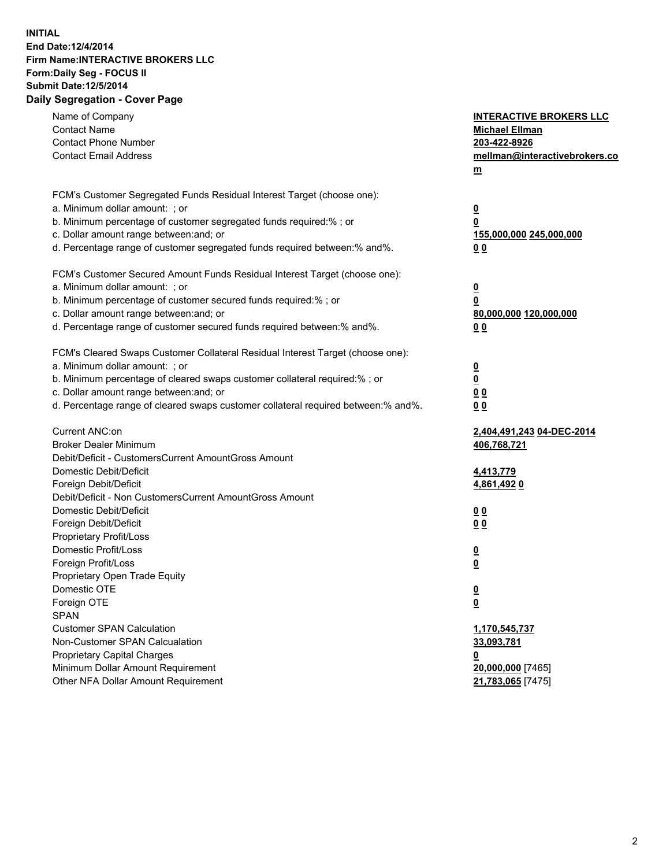## **INITIAL End Date:12/4/2014 Firm Name:INTERACTIVE BROKERS LLC Form:Daily Seg - FOCUS II Submit Date:12/5/2014 Daily Segregation - Cover Page**

| Name of Company<br><b>Contact Name</b><br><b>Contact Phone Number</b><br><b>Contact Email Address</b>                                                                                                                                                                                                                          | <b>INTERACTIVE BROKERS LLC</b><br><b>Michael Ellman</b><br>203-422-8926<br>mellman@interactivebrokers.co<br>$m$ |
|--------------------------------------------------------------------------------------------------------------------------------------------------------------------------------------------------------------------------------------------------------------------------------------------------------------------------------|-----------------------------------------------------------------------------------------------------------------|
| FCM's Customer Segregated Funds Residual Interest Target (choose one):<br>a. Minimum dollar amount: ; or<br>b. Minimum percentage of customer segregated funds required:% ; or<br>c. Dollar amount range between: and; or<br>d. Percentage range of customer segregated funds required between:% and%.                         | $\overline{\mathbf{0}}$<br>0<br>155,000,000 245,000,000<br>0 <sub>0</sub>                                       |
| FCM's Customer Secured Amount Funds Residual Interest Target (choose one):<br>a. Minimum dollar amount: ; or<br>b. Minimum percentage of customer secured funds required:% ; or<br>c. Dollar amount range between: and; or<br>d. Percentage range of customer secured funds required between:% and%.                           | $\overline{\mathbf{0}}$<br>0<br>80,000,000 120,000,000<br>0 <sub>0</sub>                                        |
| FCM's Cleared Swaps Customer Collateral Residual Interest Target (choose one):<br>a. Minimum dollar amount: ; or<br>b. Minimum percentage of cleared swaps customer collateral required:% ; or<br>c. Dollar amount range between: and; or<br>d. Percentage range of cleared swaps customer collateral required between:% and%. | $\overline{\mathbf{0}}$<br>$\underline{\mathbf{0}}$<br>0 <sub>0</sub><br>0 <sub>0</sub>                         |
| Current ANC:on<br><b>Broker Dealer Minimum</b><br>Debit/Deficit - CustomersCurrent AmountGross Amount<br>Domestic Debit/Deficit<br>Foreign Debit/Deficit                                                                                                                                                                       | 2,404,491,243 04-DEC-2014<br>406,768,721<br>4,413,779<br>4,861,492 0                                            |
| Debit/Deficit - Non CustomersCurrent AmountGross Amount<br>Domestic Debit/Deficit<br>Foreign Debit/Deficit<br>Proprietary Profit/Loss<br>Domestic Profit/Loss<br>Foreign Profit/Loss                                                                                                                                           | 0 <sub>0</sub><br>0 <sub>0</sub><br>$\overline{\mathbf{0}}$<br>$\overline{\mathbf{0}}$                          |
| Proprietary Open Trade Equity<br>Domestic OTE<br>Foreign OTE<br><b>SPAN</b><br><b>Customer SPAN Calculation</b>                                                                                                                                                                                                                | $\underline{\mathbf{0}}$<br><u>0</u><br>1,170,545,737                                                           |
| Non-Customer SPAN Calcualation<br>Proprietary Capital Charges<br>Minimum Dollar Amount Requirement<br>Other NFA Dollar Amount Requirement                                                                                                                                                                                      | 33,093,781<br><u>0</u><br>20,000,000 [7465]<br>21,783,065 [7475]                                                |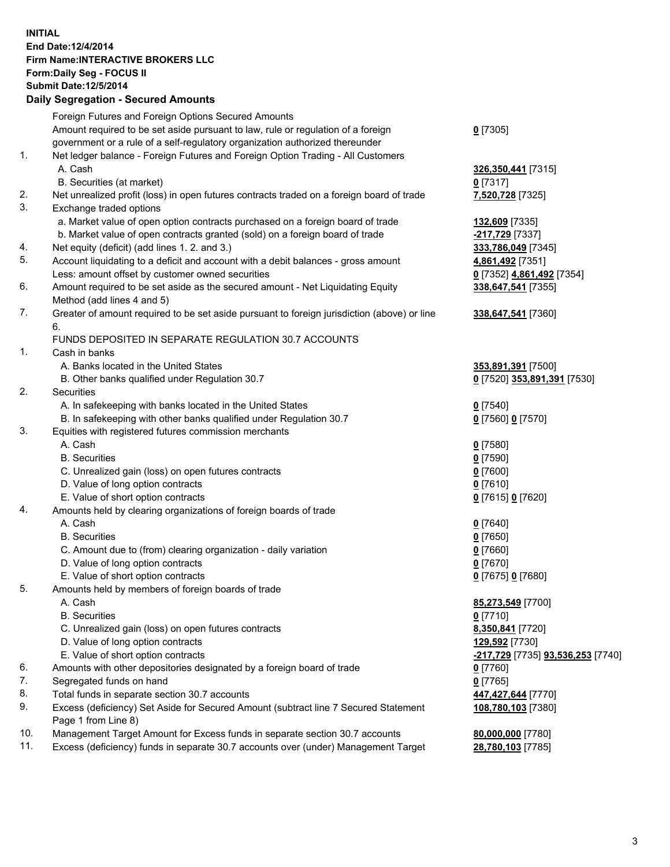## **INITIAL End Date:12/4/2014 Firm Name:INTERACTIVE BROKERS LLC Form:Daily Seg - FOCUS II Submit Date:12/5/2014**

|     | <b>Daily Segregation - Secured Amounts</b>                                                                   |                                                 |  |  |  |  |
|-----|--------------------------------------------------------------------------------------------------------------|-------------------------------------------------|--|--|--|--|
|     | Foreign Futures and Foreign Options Secured Amounts                                                          |                                                 |  |  |  |  |
|     | Amount required to be set aside pursuant to law, rule or regulation of a foreign                             | $0$ [7305]                                      |  |  |  |  |
|     | government or a rule of a self-regulatory organization authorized thereunder                                 |                                                 |  |  |  |  |
| 1.  | Net ledger balance - Foreign Futures and Foreign Option Trading - All Customers                              |                                                 |  |  |  |  |
|     | A. Cash                                                                                                      | 326,350,441 [7315]                              |  |  |  |  |
|     | B. Securities (at market)                                                                                    | $0$ [7317]                                      |  |  |  |  |
| 2.  | Net unrealized profit (loss) in open futures contracts traded on a foreign board of trade                    | 7,520,728 [7325]                                |  |  |  |  |
| 3.  | Exchange traded options                                                                                      |                                                 |  |  |  |  |
|     | a. Market value of open option contracts purchased on a foreign board of trade                               | 132,609 [7335]                                  |  |  |  |  |
|     | b. Market value of open contracts granted (sold) on a foreign board of trade                                 | -217,729 [7337]                                 |  |  |  |  |
| 4.  | Net equity (deficit) (add lines 1.2. and 3.)                                                                 | 333,786,049 [7345]                              |  |  |  |  |
| 5.  | Account liquidating to a deficit and account with a debit balances - gross amount                            | 4,861,492 [7351]                                |  |  |  |  |
| 6.  | Less: amount offset by customer owned securities                                                             | 0 [7352] 4,861,492 [7354]                       |  |  |  |  |
|     | Amount required to be set aside as the secured amount - Net Liquidating Equity<br>Method (add lines 4 and 5) | 338,647,541 [7355]                              |  |  |  |  |
| 7.  | Greater of amount required to be set aside pursuant to foreign jurisdiction (above) or line                  | 338,647,541 [7360]                              |  |  |  |  |
|     | 6.                                                                                                           |                                                 |  |  |  |  |
|     | FUNDS DEPOSITED IN SEPARATE REGULATION 30.7 ACCOUNTS                                                         |                                                 |  |  |  |  |
| 1.  | Cash in banks                                                                                                |                                                 |  |  |  |  |
|     | A. Banks located in the United States                                                                        | 353,891,391 [7500]                              |  |  |  |  |
|     | B. Other banks qualified under Regulation 30.7                                                               | 0 [7520] 353,891,391 [7530]                     |  |  |  |  |
| 2.  | Securities                                                                                                   |                                                 |  |  |  |  |
|     | A. In safekeeping with banks located in the United States                                                    | $0$ [7540]                                      |  |  |  |  |
|     | B. In safekeeping with other banks qualified under Regulation 30.7                                           | 0 [7560] 0 [7570]                               |  |  |  |  |
| 3.  | Equities with registered futures commission merchants                                                        |                                                 |  |  |  |  |
|     | A. Cash                                                                                                      | $0$ [7580]                                      |  |  |  |  |
|     | <b>B.</b> Securities                                                                                         | $0$ [7590]                                      |  |  |  |  |
|     | C. Unrealized gain (loss) on open futures contracts                                                          | $0$ [7600]                                      |  |  |  |  |
|     | D. Value of long option contracts                                                                            | $0$ [7610]                                      |  |  |  |  |
| 4.  | E. Value of short option contracts<br>Amounts held by clearing organizations of foreign boards of trade      | 0 [7615] 0 [7620]                               |  |  |  |  |
|     | A. Cash                                                                                                      | $0$ [7640]                                      |  |  |  |  |
|     | <b>B.</b> Securities                                                                                         | $0$ [7650]                                      |  |  |  |  |
|     | C. Amount due to (from) clearing organization - daily variation                                              | $0$ [7660]                                      |  |  |  |  |
|     | D. Value of long option contracts                                                                            | $0$ [7670]                                      |  |  |  |  |
|     | E. Value of short option contracts                                                                           | 0 [7675] 0 [7680]                               |  |  |  |  |
| 5.  | Amounts held by members of foreign boards of trade                                                           |                                                 |  |  |  |  |
|     | A. Cash                                                                                                      | 85,273,549 [7700]                               |  |  |  |  |
|     | <b>B.</b> Securities                                                                                         | $0$ [7710]                                      |  |  |  |  |
|     | C. Unrealized gain (loss) on open futures contracts                                                          | 8,350,841 [7720]                                |  |  |  |  |
|     | D. Value of long option contracts                                                                            | 129,592 [7730]                                  |  |  |  |  |
|     | E. Value of short option contracts                                                                           | <u>-217,729</u> [7735] <b>93,536,253</b> [7740] |  |  |  |  |
| 6.  | Amounts with other depositories designated by a foreign board of trade                                       | $0$ [7760]                                      |  |  |  |  |
| 7.  | Segregated funds on hand                                                                                     | $0$ [7765]                                      |  |  |  |  |
| 8.  | Total funds in separate section 30.7 accounts                                                                | 447,427,644 [7770]                              |  |  |  |  |
| 9.  | Excess (deficiency) Set Aside for Secured Amount (subtract line 7 Secured Statement                          | 108,780,103 [7380]                              |  |  |  |  |
|     | Page 1 from Line 8)                                                                                          |                                                 |  |  |  |  |
| 10. | Management Target Amount for Excess funds in separate section 30.7 accounts                                  | 80,000,000 [7780]                               |  |  |  |  |
| 11. | Excess (deficiency) funds in separate 30.7 accounts over (under) Management Target                           | 28,780,103 [7785]                               |  |  |  |  |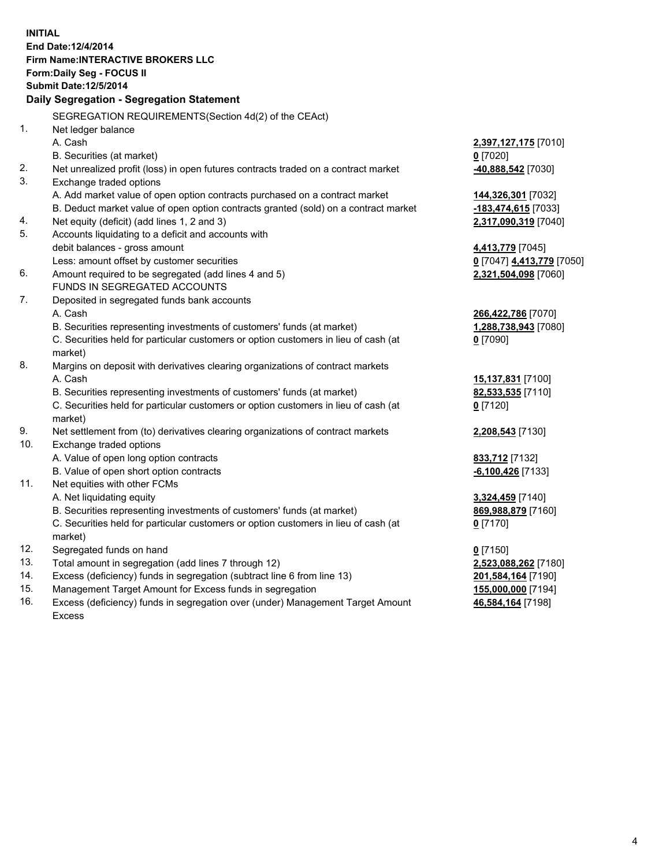**INITIAL End Date:12/4/2014 Firm Name:INTERACTIVE BROKERS LLC Form:Daily Seg - FOCUS II Submit Date:12/5/2014 Daily Segregation - Segregation Statement** SEGREGATION REQUIREMENTS(Section 4d(2) of the CEAct) 1. Net ledger balance A. Cash **2,397,127,175** [7010] B. Securities (at market) **0** [7020] 2. Net unrealized profit (loss) in open futures contracts traded on a contract market **-40,888,542** [7030] 3. Exchange traded options A. Add market value of open option contracts purchased on a contract market **144,326,301** [7032] B. Deduct market value of open option contracts granted (sold) on a contract market **-183,474,615** [7033] 4. Net equity (deficit) (add lines 1, 2 and 3) **2,317,090,319** [7040] 5. Accounts liquidating to a deficit and accounts with debit balances - gross amount **4,413,779** [7045] Less: amount offset by customer securities **0** [7047] **4,413,779** [7050] 6. Amount required to be segregated (add lines 4 and 5) **2,321,504,098** [7060] FUNDS IN SEGREGATED ACCOUNTS 7. Deposited in segregated funds bank accounts A. Cash **266,422,786** [7070] B. Securities representing investments of customers' funds (at market) **1,288,738,943** [7080] C. Securities held for particular customers or option customers in lieu of cash (at market) **0** [7090] 8. Margins on deposit with derivatives clearing organizations of contract markets A. Cash **15,137,831** [7100] B. Securities representing investments of customers' funds (at market) **82,533,535** [7110] C. Securities held for particular customers or option customers in lieu of cash (at market) **0** [7120] 9. Net settlement from (to) derivatives clearing organizations of contract markets **2,208,543** [7130] 10. Exchange traded options A. Value of open long option contracts **833,712** [7132] B. Value of open short option contracts **-6,100,426** [7133] 11. Net equities with other FCMs A. Net liquidating equity **3,324,459** [7140] B. Securities representing investments of customers' funds (at market) **869,988,879** [7160] C. Securities held for particular customers or option customers in lieu of cash (at market) **0** [7170] 12. Segregated funds on hand **0** [7150] 13. Total amount in segregation (add lines 7 through 12) **2,523,088,262** [7180] 14. Excess (deficiency) funds in segregation (subtract line 6 from line 13) **201,584,164** [7190] 15. Management Target Amount for Excess funds in segregation **155,000,000** [7194]

16. Excess (deficiency) funds in segregation over (under) Management Target Amount Excess

**46,584,164** [7198]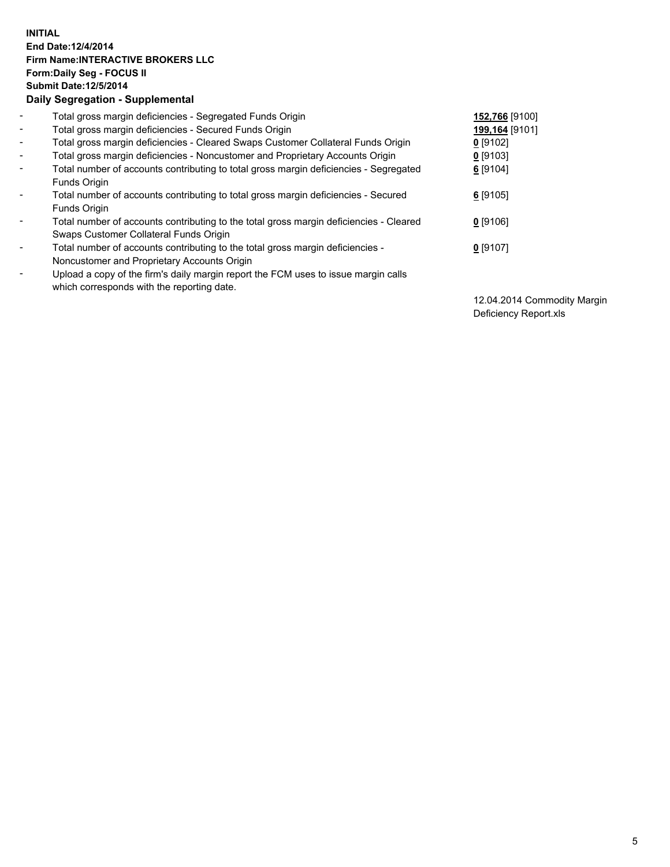## **INITIAL End Date:12/4/2014 Firm Name:INTERACTIVE BROKERS LLC Form:Daily Seg - FOCUS II Submit Date:12/5/2014 Daily Segregation - Supplemental**

| $\blacksquare$           | Total gross margin deficiencies - Segregated Funds Origin                              | 152,766 [9100] |
|--------------------------|----------------------------------------------------------------------------------------|----------------|
| $\blacksquare$           | Total gross margin deficiencies - Secured Funds Origin                                 | 199,164 [9101] |
| $\blacksquare$           | Total gross margin deficiencies - Cleared Swaps Customer Collateral Funds Origin       | $0$ [9102]     |
| $\blacksquare$           | Total gross margin deficiencies - Noncustomer and Proprietary Accounts Origin          | $0$ [9103]     |
| $\blacksquare$           | Total number of accounts contributing to total gross margin deficiencies - Segregated  | 6 [9104]       |
|                          | Funds Origin                                                                           |                |
| $\blacksquare$           | Total number of accounts contributing to total gross margin deficiencies - Secured     | $6$ [9105]     |
|                          | Funds Origin                                                                           |                |
| $\blacksquare$           | Total number of accounts contributing to the total gross margin deficiencies - Cleared | $0$ [9106]     |
|                          | Swaps Customer Collateral Funds Origin                                                 |                |
| $\overline{\phantom{a}}$ | Total number of accounts contributing to the total gross margin deficiencies -         | $0$ [9107]     |
|                          | Noncustomer and Proprietary Accounts Origin                                            |                |
| $\overline{\phantom{a}}$ | Upload a copy of the firm's daily margin report the FCM uses to issue margin calls     |                |
|                          | which corresponds with the reporting date.                                             |                |

12.04.2014 Commodity Margin Deficiency Report.xls